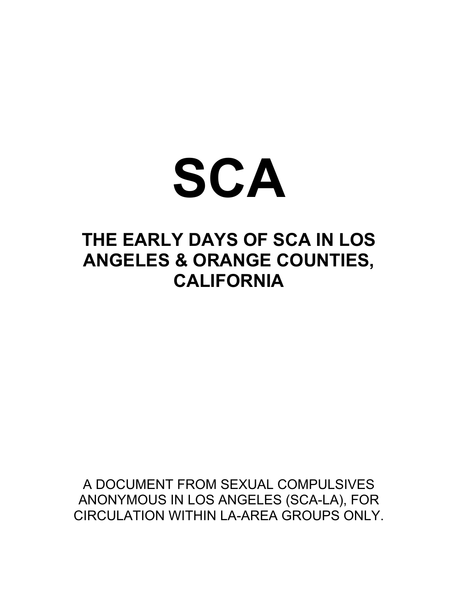

## **THE EARLY DAYS OF SCA IN LOS ANGELES & ORANGE COUNTIES, CALIFORNIA**

A DOCUMENT FROM SEXUAL COMPULSIVES ANONYMOUS IN LOS ANGELES (SCA-LA), FOR CIRCULATION WITHIN LA-ARFA GROUPS ONLY.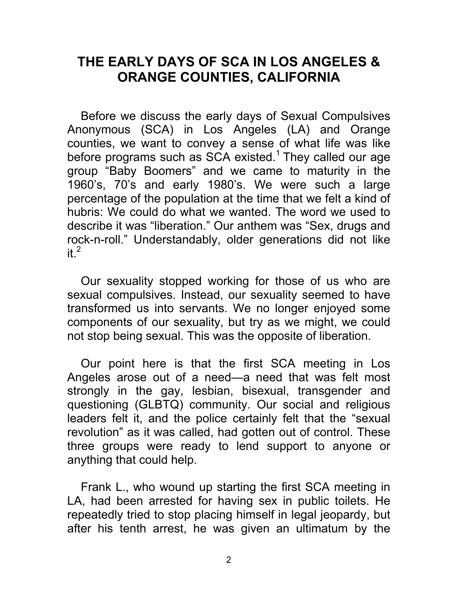## **THE EARLY DAYS OF SCA IN LOS ANGELES & ORANGE COUNTIES, CALIFORNIA**

Before we discuss the early days of Sexual Compulsives Anonymous (SCA) in Los Angeles (LA) and Orange counties, we want to convey a sense of what life was like before programs such as  $SCA$  existed.<sup>1</sup> They called our age group "Baby Boomers" and we came to maturity in the 1960's, 70's and early 1980's. We were such a large percentage of the population at the time that we felt a kind of hubris: We could do what we wanted. The word we used to describe it was "liberation." Our anthem was "Sex, drugs and rock-n-roll." Understandably, older generations did not like it  $^2$ 

Our sexuality stopped working for those of us who are sexual compulsives. Instead, our sexuality seemed to have transformed us into servants. We no longer enjoyed some components of our sexuality, but try as we might, we could not stop being sexual. This was the opposite of liberation.

Our point here is that the first SCA meeting in Los Angeles arose out of a need—a need that was felt most strongly in the gay, lesbian, bisexual, transgender and questioning (GLBTQ) community. Our social and religious leaders felt it, and the police certainly felt that the "sexual revolution" as it was called, had gotten out of control. These three groups were ready to lend support to anyone or anything that could help.

Frank L., who wound up starting the first SCA meeting in LA, had been arrested for having sex in public toilets. He repeatedly tried to stop placing himself in legal jeopardy, but after his tenth arrest, he was given an ultimatum by the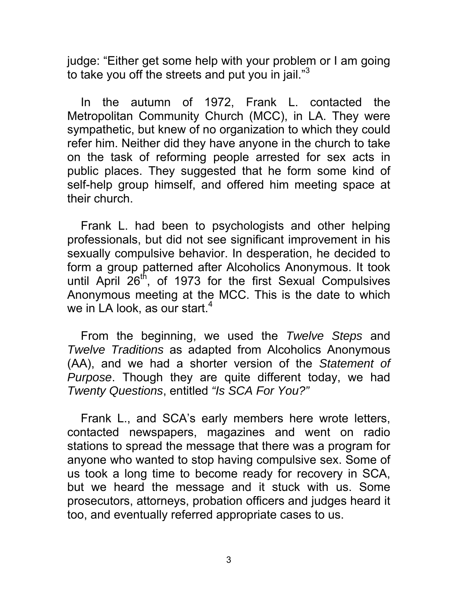judge: "Either get some help with your problem or I am going to take you off the streets and put you in jail."<sup>3</sup>

In the autumn of 1972, Frank L. contacted the Metropolitan Community Church (MCC), in LA. They were sympathetic, but knew of no organization to which they could refer him. Neither did they have anyone in the church to take on the task of reforming people arrested for sex acts in public places. They suggested that he form some kind of self-help group himself, and offered him meeting space at their church.

Frank L. had been to psychologists and other helping professionals, but did not see significant improvement in his sexually compulsive behavior. In desperation, he decided to form a group patterned after Alcoholics Anonymous. It took until April  $26<sup>th</sup>$ , of 1973 for the first Sexual Compulsives Anonymous meeting at the MCC. This is the date to which we in LA look, as our start. $4$ 

From the beginning, we used the *Twelve Steps* and *Twelve Traditions* as adapted from Alcoholics Anonymous (AA), and we had a shorter version of the *Statement of Purpose*. Though they are quite different today, we had *Twenty Questions*, entitled *"Is SCA For You?"*

Frank L., and SCA's early members here wrote letters, contacted newspapers, magazines and went on radio stations to spread the message that there was a program for anyone who wanted to stop having compulsive sex. Some of us took a long time to become ready for recovery in SCA, but we heard the message and it stuck with us. Some prosecutors, attorneys, probation officers and judges heard it too, and eventually referred appropriate cases to us.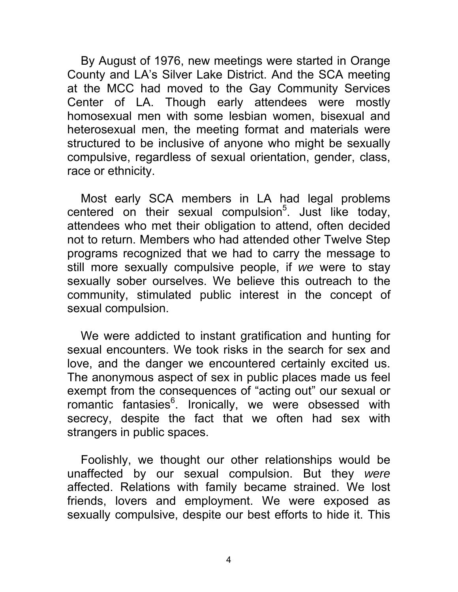By August of 1976, new meetings were started in Orange County and LA's Silver Lake District. And the SCA meeting at the MCC had moved to the Gay Community Services Center of LA. Though early attendees were mostly homosexual men with some lesbian women, bisexual and heterosexual men, the meeting format and materials were structured to be inclusive of anyone who might be sexually compulsive, regardless of sexual orientation, gender, class, race or ethnicity.

Most early SCA members in LA had legal problems centered on their sexual compulsion<sup>5</sup>. Just like today, attendees who met their obligation to attend, often decided not to return. Members who had attended other Twelve Step programs recognized that we had to carry the message to still more sexually compulsive people, if *we* were to stay sexually sober ourselves. We believe this outreach to the community, stimulated public interest in the concept of sexual compulsion.

We were addicted to instant gratification and hunting for sexual encounters. We took risks in the search for sex and love, and the danger we encountered certainly excited us. The anonymous aspect of sex in public places made us feel exempt from the consequences of "acting out" our sexual or romantic fantasies<sup>6</sup>. Ironically, we were obsessed with secrecy, despite the fact that we often had sex with strangers in public spaces.

Foolishly, we thought our other relationships would be unaffected by our sexual compulsion. But they *were* affected. Relations with family became strained. We lost friends, lovers and employment. We were exposed as sexually compulsive, despite our best efforts to hide it. This

4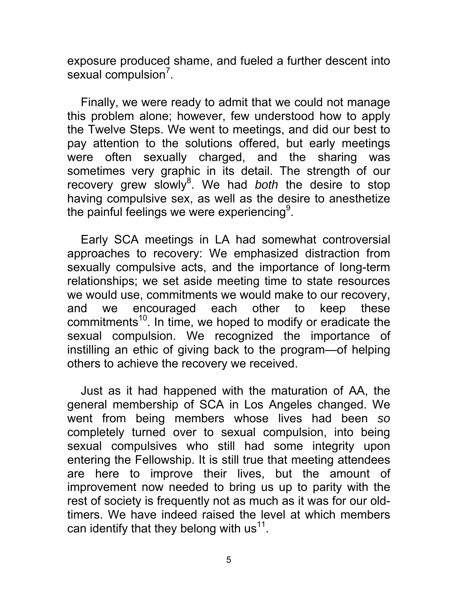exposure produced shame, and fueled a further descent into sexual compulsion<sup>7</sup>.

Finally, we were ready to admit that we could not manage this problem alone; however, few understood how to apply the Twelve Steps. We went to meetings, and did our best to pay attention to the solutions offered, but early meetings were often sexually charged, and the sharing was sometimes very graphic in its detail. The strength of our recovery grew slowly<sup>8</sup>. We had *both* the desire to stop having compulsive sex, as well as the desire to anesthetize the painful feelings we were experiencing $^9$ .

Early SCA meetings in LA had somewhat controversial approaches to recovery: We emphasized distraction from sexually compulsive acts, and the importance of long-term relationships; we set aside meeting time to state resources we would use, commitments we would make to our recovery, and we encouraged each other to keep these commitments<sup>10</sup>. In time, we hoped to modify or eradicate the sexual compulsion. We recognized the importance of instilling an ethic of giving back to the program—of helping others to achieve the recovery we received.

Just as it had happened with the maturation of AA, the general membership of SCA in Los Angeles changed. We went from being members whose lives had been *so* completely turned over to sexual compulsion, into being sexual compulsives who still had some integrity upon entering the Fellowship. It is still true that meeting attendees are here to improve their lives, but the amount of improvement now needed to bring us up to parity with the rest of society is frequently not as much as it was for our oldtimers. We have indeed raised the level at which members can identify that they belong with  $us<sup>11</sup>$ .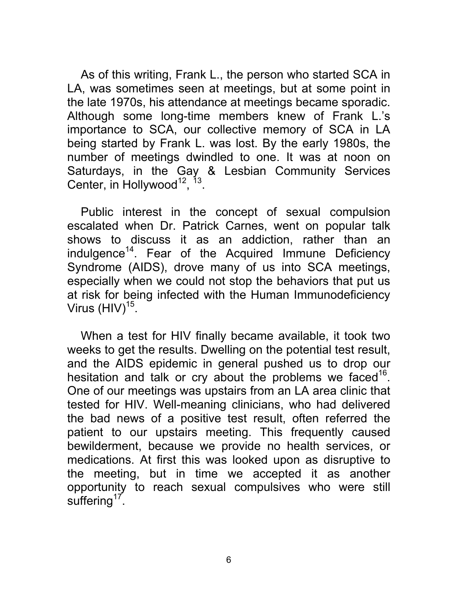As of this writing, Frank L., the person who started SCA in LA, was sometimes seen at meetings, but at some point in the late 1970s, his attendance at meetings became sporadic. Although some long-time members knew of Frank L.'s importance to SCA, our collective memory of SCA in LA being started by Frank L. was lost. By the early 1980s, the number of meetings dwindled to one. It was at noon on Saturdays, in the Gay & Lesbian Community Services Center, in Hollywood<sup>12</sup>,  $^{13}$ .

Public interest in the concept of sexual compulsion escalated when Dr. Patrick Carnes, went on popular talk shows to discuss it as an addiction, rather than an indulgence<sup>14</sup>. Fear of the Acquired Immune Deficiency Syndrome (AIDS), drove many of us into SCA meetings, especially when we could not stop the behaviors that put us at risk for being infected with the Human Immunodeficiency Virus  $(HIV)^{15}$ .

When a test for HIV finally became available, it took two weeks to get the results. Dwelling on the potential test result, and the AIDS epidemic in general pushed us to drop our hesitation and talk or cry about the problems we faced<sup>16</sup>. One of our meetings was upstairs from an LA area clinic that tested for HIV. Well-meaning clinicians, who had delivered the bad news of a positive test result, often referred the patient to our upstairs meeting. This frequently caused bewilderment, because we provide no health services, or medications. At first this was looked upon as disruptive to the meeting, but in time we accepted it as another opportunity to reach sexual compulsives who were still suffering<sup>17</sup>.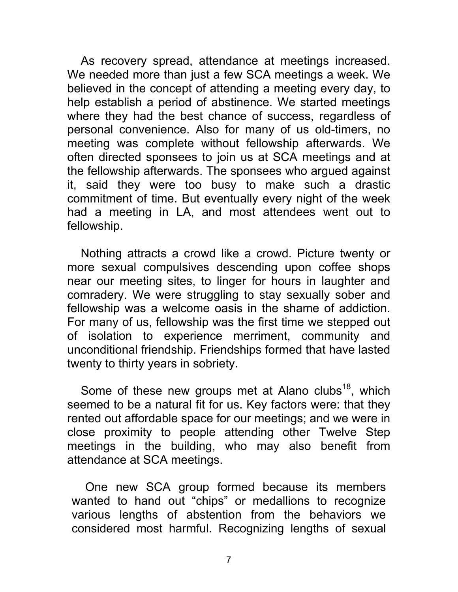As recovery spread, attendance at meetings increased. We needed more than just a few SCA meetings a week. We believed in the concept of attending a meeting every day, to help establish a period of abstinence. We started meetings where they had the best chance of success, regardless of personal convenience. Also for many of us old-timers, no meeting was complete without fellowship afterwards. We often directed sponsees to join us at SCA meetings and at the fellowship afterwards. The sponsees who argued against it, said they were too busy to make such a drastic commitment of time. But eventually every night of the week had a meeting in LA, and most attendees went out to fellowship.

Nothing attracts a crowd like a crowd. Picture twenty or more sexual compulsives descending upon coffee shops near our meeting sites, to linger for hours in laughter and comradery. We were struggling to stay sexually sober and fellowship was a welcome oasis in the shame of addiction. For many of us, fellowship was the first time we stepped out of isolation to experience merriment, community and unconditional friendship. Friendships formed that have lasted twenty to thirty years in sobriety.

Some of these new groups met at Alano clubs $^{18}$ , which seemed to be a natural fit for us. Key factors were: that they rented out affordable space for our meetings; and we were in close proximity to people attending other Twelve Step meetings in the building, who may also benefit from attendance at SCA meetings.

One new SCA group formed because its members wanted to hand out "chips" or medallions to recognize various lengths of abstention from the behaviors we considered most harmful. Recognizing lengths of sexual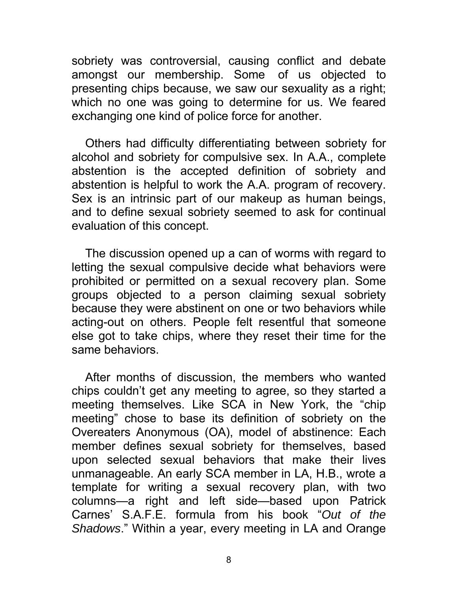sobriety was controversial, causing conflict and debate amongst our membership. Some of us objected to presenting chips because, we saw our sexuality as a right; which no one was going to determine for us. We feared exchanging one kind of police force for another.

Others had difficulty differentiating between sobriety for alcohol and sobriety for compulsive sex. In A.A., complete abstention is the accepted definition of sobriety and abstention is helpful to work the A.A. program of recovery. Sex is an intrinsic part of our makeup as human beings, and to define sexual sobriety seemed to ask for continual evaluation of this concept.

The discussion opened up a can of worms with regard to letting the sexual compulsive decide what behaviors were prohibited or permitted on a sexual recovery plan. Some groups objected to a person claiming sexual sobriety because they were abstinent on one or two behaviors while acting-out on others. People felt resentful that someone else got to take chips, where they reset their time for the same behaviors.

After months of discussion, the members who wanted chips couldn't get any meeting to agree, so they started a meeting themselves. Like SCA in New York, the "chip meeting" chose to base its definition of sobriety on the Overeaters Anonymous (OA), model of abstinence: Each member defines sexual sobriety for themselves, based upon selected sexual behaviors that make their lives unmanageable. An early SCA member in LA, H.B., wrote a template for writing a sexual recovery plan, with two columns—a right and left side—based upon Patrick Carnes' S.A.F.E. formula from his book "*Out of the Shadows*." Within a year, every meeting in LA and Orange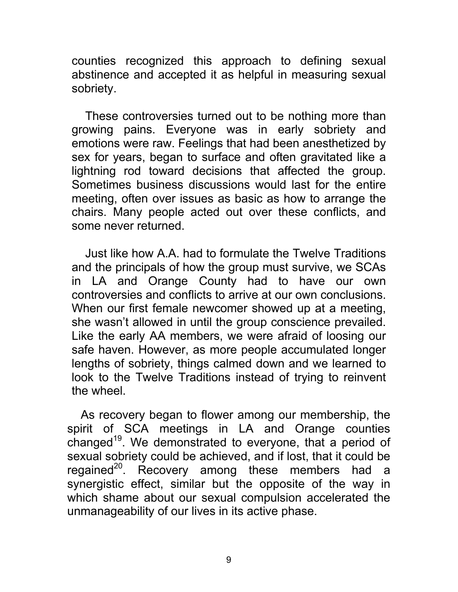counties recognized this approach to defining sexual abstinence and accepted it as helpful in measuring sexual sobriety.

These controversies turned out to be nothing more than growing pains. Everyone was in early sobriety and emotions were raw. Feelings that had been anesthetized by sex for years, began to surface and often gravitated like a lightning rod toward decisions that affected the group. Sometimes business discussions would last for the entire meeting, often over issues as basic as how to arrange the chairs. Many people acted out over these conflicts, and some never returned.

Just like how A.A. had to formulate the Twelve Traditions and the principals of how the group must survive, we SCAs in LA and Orange County had to have our own controversies and conflicts to arrive at our own conclusions. When our first female newcomer showed up at a meeting, she wasn't allowed in until the group conscience prevailed. Like the early AA members, we were afraid of loosing our safe haven. However, as more people accumulated longer lengths of sobriety, things calmed down and we learned to look to the Twelve Traditions instead of trying to reinvent the wheel.

As recovery began to flower among our membership, the spirit of SCA meetings in LA and Orange counties changed<sup>19</sup>. We demonstrated to everyone, that a period of sexual sobriety could be achieved, and if lost, that it could be regained<sup>20</sup>. Recovery among these members had a synergistic effect, similar but the opposite of the way in which shame about our sexual compulsion accelerated the unmanageability of our lives in its active phase.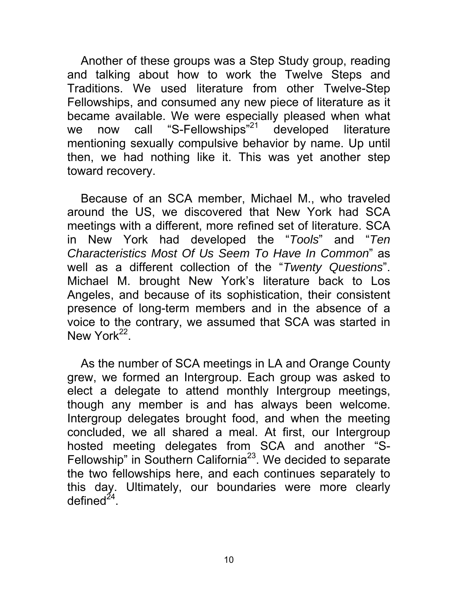Another of these groups was a Step Study group, reading and talking about how to work the Twelve Steps and Traditions. We used literature from other Twelve-Step Fellowships, and consumed any new piece of literature as it became available. We were especially pleased when what we now call "S-Fellowships"<sup>21</sup> developed literature mentioning sexually compulsive behavior by name. Up until then, we had nothing like it. This was yet another step toward recovery.

Because of an SCA member, Michael M., who traveled around the US, we discovered that New York had SCA meetings with a different, more refined set of literature. SCA in New York had developed the "*Tools*" and "*Ten Characteristics Most Of Us Seem To Have In Common*" as well as a different collection of the "*Twenty Questions*". Michael M. brought New York's literature back to Los Angeles, and because of its sophistication, their consistent presence of long-term members and in the absence of a voice to the contrary, we assumed that SCA was started in New York<sup>22</sup>

As the number of SCA meetings in LA and Orange County grew, we formed an Intergroup. Each group was asked to elect a delegate to attend monthly Intergroup meetings, though any member is and has always been welcome. Intergroup delegates brought food, and when the meeting concluded, we all shared a meal. At first, our Intergroup hosted meeting delegates from SCA and another "S-Fellowship" in Southern California<sup>23</sup>. We decided to separate the two fellowships here, and each continues separately to this day. Ultimately, our boundaries were more clearly defined $^{24}$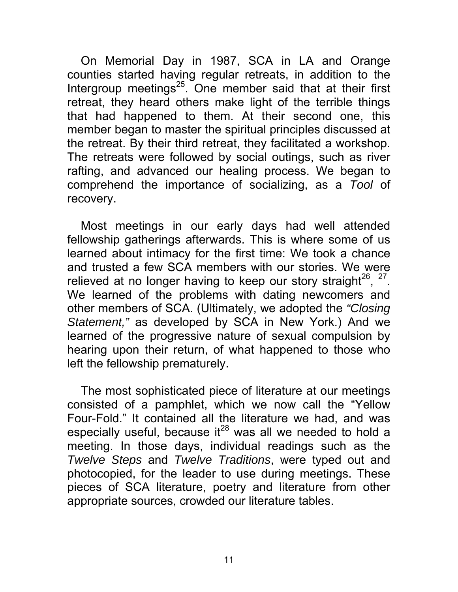On Memorial Day in 1987, SCA in LA and Orange counties started having regular retreats, in addition to the Intergroup meetings<sup>25</sup>. One member said that at their first retreat, they heard others make light of the terrible things that had happened to them. At their second one, this member began to master the spiritual principles discussed at the retreat. By their third retreat, they facilitated a workshop. The retreats were followed by social outings, such as river rafting, and advanced our healing process. We began to comprehend the importance of socializing, as a *Tool* of recovery.

Most meetings in our early days had well attended fellowship gatherings afterwards. This is where some of us learned about intimacy for the first time: We took a chance and trusted a few SCA members with our stories. We were relieved at no longer having to keep our story straight $^{26}$ ,  $^{27}$ . We learned of the problems with dating newcomers and other members of SCA. (Ultimately, we adopted the *"Closing Statement,"* as developed by SCA in New York.) And we learned of the progressive nature of sexual compulsion by hearing upon their return, of what happened to those who left the fellowship prematurely.

The most sophisticated piece of literature at our meetings consisted of a pamphlet, which we now call the "Yellow Four-Fold." It contained all the literature we had, and was especially useful, because it $^{28}$  was all we needed to hold a meeting. In those days, individual readings such as the *Twelve Steps* and *Twelve Traditions*, were typed out and photocopied, for the leader to use during meetings. These pieces of SCA literature, poetry and literature from other appropriate sources, crowded our literature tables.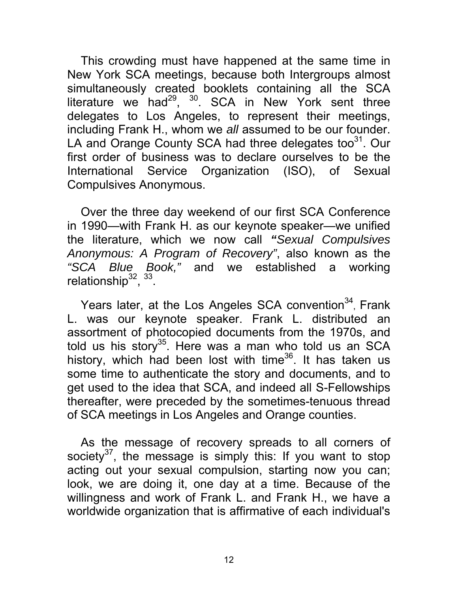This crowding must have happened at the same time in New York SCA meetings, because both Intergroups almost simultaneously created booklets containing all the SCA literature we had<sup>29</sup>, <sup>30</sup>. SCA in New York sent three delegates to Los Angeles, to represent their meetings, including Frank H., whom we *all* assumed to be our founder. LA and Orange County SCA had three delegates too<sup>31</sup>. Our first order of business was to declare ourselves to be the International Service Organization (ISO), of Sexual Compulsives Anonymous.

Over the three day weekend of our first SCA Conference in 1990—with Frank H. as our keynote speaker—we unified the literature, which we now call *"Sexual Compulsives Anonymous: A Program of Recovery"*, also known as the *"SCA Blue Book,"* and we established a working relationship $^{32}$ ,  $^{33}$ .

Years later, at the Los Angeles SCA convention<sup>34</sup>, Frank L. was our keynote speaker. Frank L. distributed an assortment of photocopied documents from the 1970s, and told us his story<sup>35</sup>. Here was a man who told us an SCA history, which had been lost with time<sup>36</sup>. It has taken us some time to authenticate the story and documents, and to get used to the idea that SCA, and indeed all S-Fellowships thereafter, were preceded by the sometimes-tenuous thread of SCA meetings in Los Angeles and Orange counties.

As the message of recovery spreads to all corners of society $37$ , the message is simply this: If you want to stop acting out your sexual compulsion, starting now you can; look, we are doing it, one day at a time. Because of the willingness and work of Frank L. and Frank H., we have a worldwide organization that is affirmative of each individual's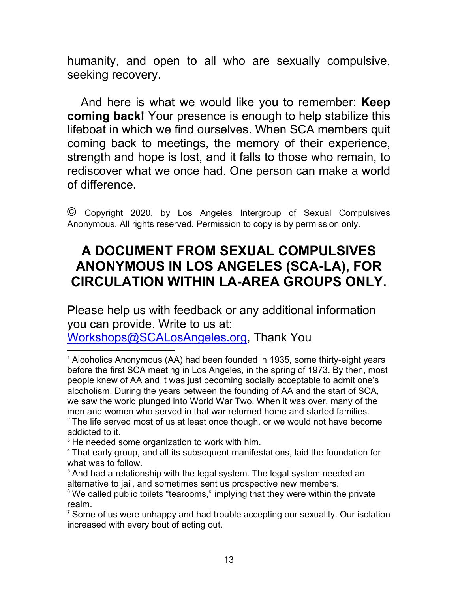humanity, and open to all who are sexually compulsive, seeking recovery.

And here is what we would like you to remember: **Keep coming back!** Your presence is enough to help stabilize this lifeboat in which we find ourselves. When SCA members quit coming back to meetings, the memory of their experience, strength and hope is lost, and it falls to those who remain, to rediscover what we once had. One person can make a world of difference.

© Copyright 2020, by Los Angeles Intergroup of Sexual Compulsives Anonymous. All rights reserved. Permission to copy is by permission only.

## **A DOCUMENT FROM SEXUAL COMPULSIVES ANONYMOUS IN LOS ANGELES (SCA-LA), FOR CIRCULATION WITHIN LA-AREA GROUPS ONLY.**

Please help us with feedback or any additional information you can provide. Write to us at:

Workshops@SCALosAngeles.org, Thank You

 $3$  He needed some organization to work with him.

 $7$  Some of us were unhappy and had trouble accepting our sexuality. Our isolation increased with every bout of acting out.

 $1$  Alcoholics Anonymous (AA) had been founded in 1935, some thirty-eight years before the first SCA meeting in Los Angeles, in the spring of 1973. By then, most people knew of AA and it was just becoming socially acceptable to admit one's alcoholism. During the years between the founding of AA and the start of SCA, we saw the world plunged into World War Two. When it was over, many of the men and women who served in that war returned home and started families.

 $2$  The life served most of us at least once though, or we would not have become addicted to it.

<sup>&</sup>lt;sup>4</sup> That early group, and all its subsequent manifestations, laid the foundation for what was to follow.

 $5$  And had a relationship with the legal system. The legal system needed an alternative to jail, and sometimes sent us prospective new members.

 $6$  We called public toilets "tearooms," implying that they were within the private realm.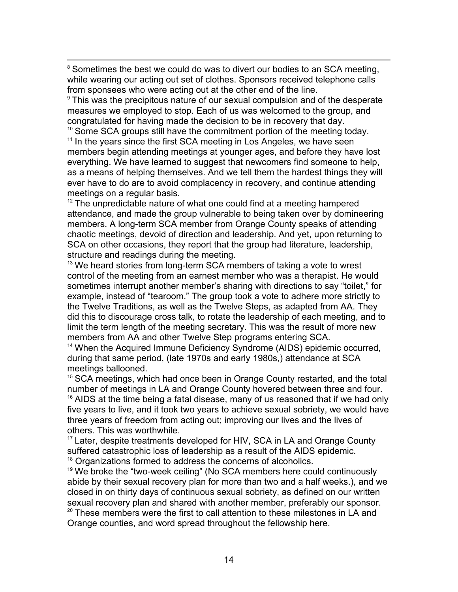<sup>8</sup> Sometimes the best we could do was to divert our bodies to an SCA meeting, while wearing our acting out set of clothes. Sponsors received telephone calls from sponsees who were acting out at the other end of the line.

 $9$  This was the precipitous nature of our sexual compulsion and of the desperate measures we employed to stop. Each of us was welcomed to the group, and congratulated for having made the decision to be in recovery that day.

 $10$  Some SCA groups still have the commitment portion of the meeting today.  $<sup>11</sup>$  In the years since the first SCA meeting in Los Angeles, we have seen</sup>

members begin attending meetings at younger ages, and before they have lost everything. We have learned to suggest that newcomers find someone to help, as a means of helping themselves. And we tell them the hardest things they will ever have to do are to avoid complacency in recovery, and continue attending meetings on a regular basis.

 $12$  The unpredictable nature of what one could find at a meeting hampered attendance, and made the group vulnerable to being taken over by domineering members. A long-term SCA member from Orange County speaks of attending chaotic meetings, devoid of direction and leadership. And yet, upon returning to SCA on other occasions, they report that the group had literature, leadership, structure and readings during the meeting.

 $13$  We heard stories from long-term SCA members of taking a vote to wrest control of the meeting from an earnest member who was a therapist. He would sometimes interrupt another member's sharing with directions to say "toilet," for example, instead of "tearoom." The group took a vote to adhere more strictly to the Twelve Traditions, as well as the Twelve Steps, as adapted from AA. They did this to discourage cross talk, to rotate the leadership of each meeting, and to limit the term length of the meeting secretary. This was the result of more new members from AA and other Twelve Step programs entering SCA.

<sup>14</sup> When the Acquired Immune Deficiency Syndrome (AIDS) epidemic occurred, during that same period, (late 1970s and early 1980s,) attendance at SCA meetings ballooned.

<sup>15</sup> SCA meetings, which had once been in Orange County restarted, and the total number of meetings in LA and Orange County hovered between three and four.  $16$  AIDS at the time being a fatal disease, many of us reasoned that if we had only five years to live, and it took two years to achieve sexual sobriety, we would have three years of freedom from acting out; improving our lives and the lives of others. This was worthwhile.

<sup>17</sup> Later, despite treatments developed for HIV, SCA in LA and Orange County suffered catastrophic loss of leadership as a result of the AIDS epidemic. <sup>18</sup> Organizations formed to address the concerns of alcoholics.

 $19$  We broke the "two-week ceiling" (No SCA members here could continuously abide by their sexual recovery plan for more than two and a half weeks.), and we closed in on thirty days of continuous sexual sobriety, as defined on our written sexual recovery plan and shared with another member, preferably our sponsor.  $20$  These members were the first to call attention to these milestones in LA and Orange counties, and word spread throughout the fellowship here.